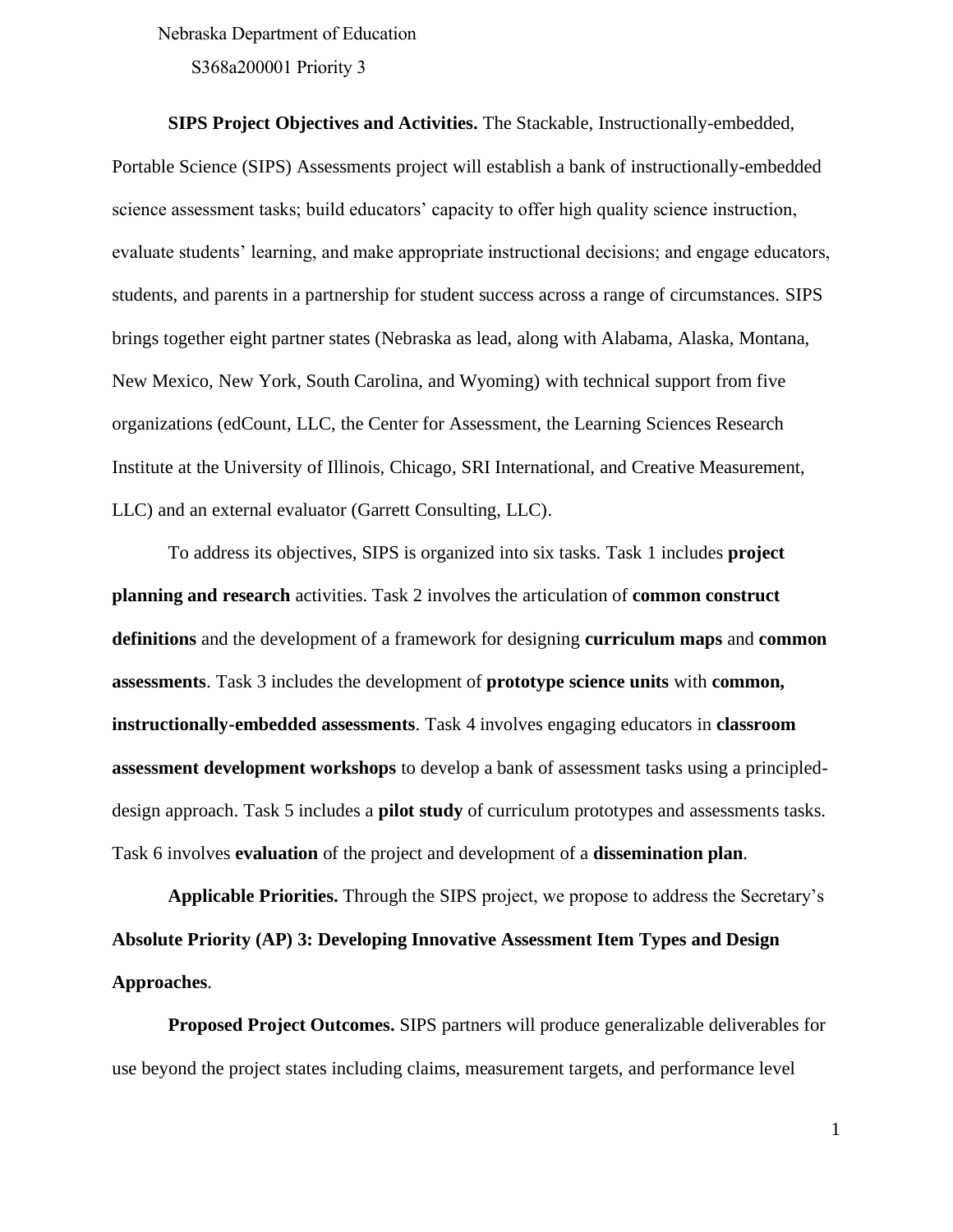Nebraska Department of Education

S368a200001 Priority 3

**SIPS Project Objectives and Activities.** The Stackable, Instructionally-embedded, Portable Science (SIPS) Assessments project will establish a bank of instructionally-embedded science assessment tasks; build educators' capacity to offer high quality science instruction, evaluate students' learning, and make appropriate instructional decisions; and engage educators, students, and parents in a partnership for student success across a range of circumstances. SIPS brings together eight partner states (Nebraska as lead, along with Alabama, Alaska, Montana, New Mexico, New York, South Carolina, and Wyoming) with technical support from five organizations (edCount, LLC, the Center for Assessment, the Learning Sciences Research Institute at the University of Illinois, Chicago, SRI International, and Creative Measurement, LLC) and an external evaluator (Garrett Consulting, LLC).

To address its objectives, SIPS is organized into six tasks. Task 1 includes **project planning and research** activities. Task 2 involves the articulation of **common construct definitions** and the development of a framework for designing **curriculum maps** and **common assessments**. Task 3 includes the development of **prototype science units** with **common, instructionally-embedded assessments**. Task 4 involves engaging educators in **classroom assessment development workshops** to develop a bank of assessment tasks using a principleddesign approach. Task 5 includes a **pilot study** of curriculum prototypes and assessments tasks. Task 6 involves **evaluation** of the project and development of a **dissemination plan**.

**Applicable Priorities.** Through the SIPS project, we propose to address the Secretary's **Absolute Priority (AP) 3: Developing Innovative Assessment Item Types and Design Approaches**.

**Proposed Project Outcomes.** SIPS partners will produce generalizable deliverables for use beyond the project states including claims, measurement targets, and performance level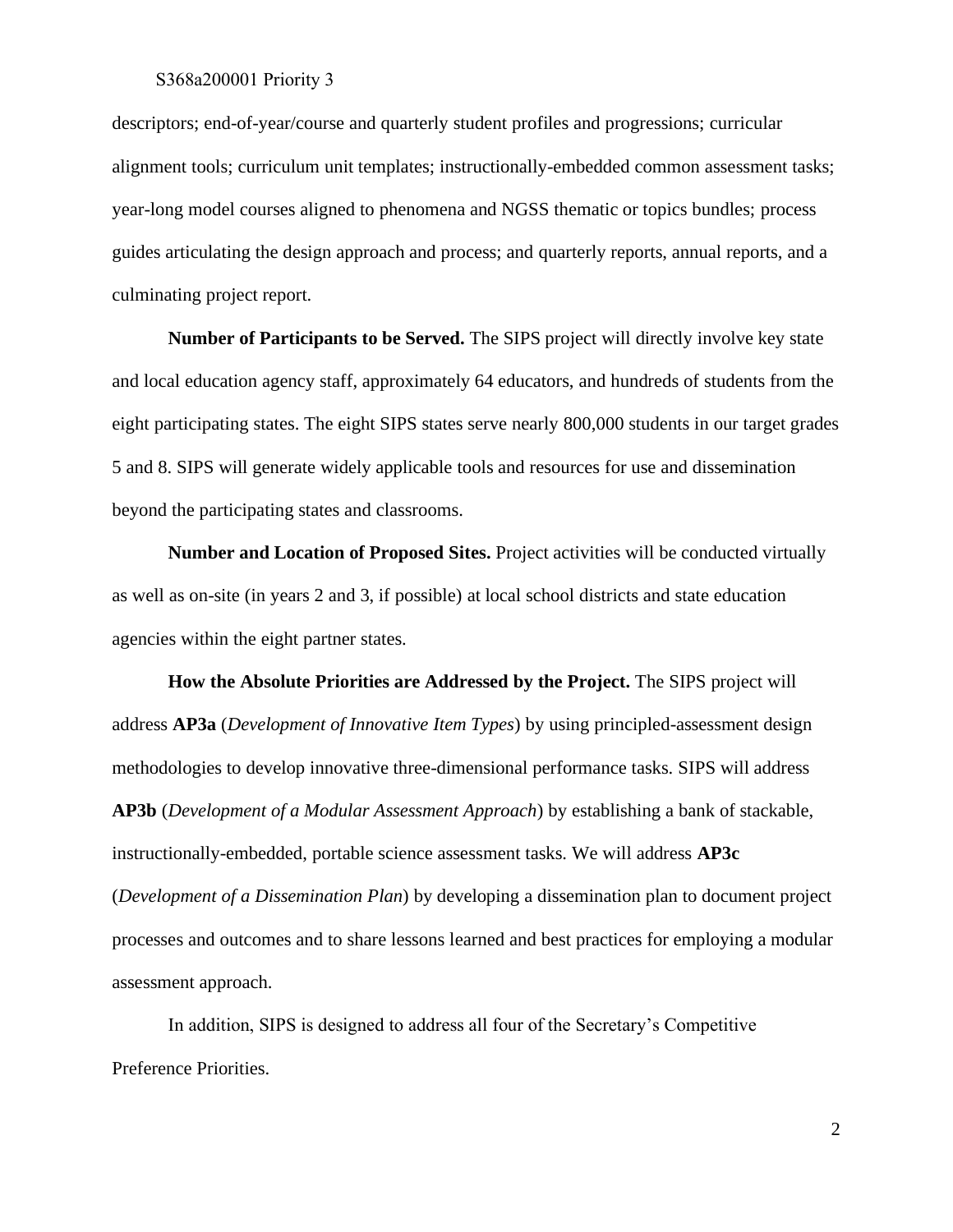#### S368a200001 Priority 3

descriptors; end-of-year/course and quarterly student profiles and progressions; curricular alignment tools; curriculum unit templates; instructionally-embedded common assessment tasks; year-long model courses aligned to phenomena and NGSS thematic or topics bundles; process guides articulating the design approach and process; and quarterly reports, annual reports, and a culminating project report.

**Number of Participants to be Served.** The SIPS project will directly involve key state and local education agency staff, approximately 64 educators, and hundreds of students from the eight participating states. The eight SIPS states serve nearly 800,000 students in our target grades 5 and 8. SIPS will generate widely applicable tools and resources for use and dissemination beyond the participating states and classrooms.

**Number and Location of Proposed Sites.** Project activities will be conducted virtually as well as on-site (in years 2 and 3, if possible) at local school districts and state education agencies within the eight partner states.

**How the Absolute Priorities are Addressed by the Project.** The SIPS project will address **AP3a** (*Development of Innovative Item Types*) by using principled-assessment design methodologies to develop innovative three-dimensional performance tasks. SIPS will address **AP3b** (*Development of a Modular Assessment Approach*) by establishing a bank of stackable, instructionally-embedded, portable science assessment tasks. We will address **AP3c** (*Development of a Dissemination Plan*) by developing a dissemination plan to document project processes and outcomes and to share lessons learned and best practices for employing a modular assessment approach.

In addition, SIPS is designed to address all four of the Secretary's Competitive Preference Priorities.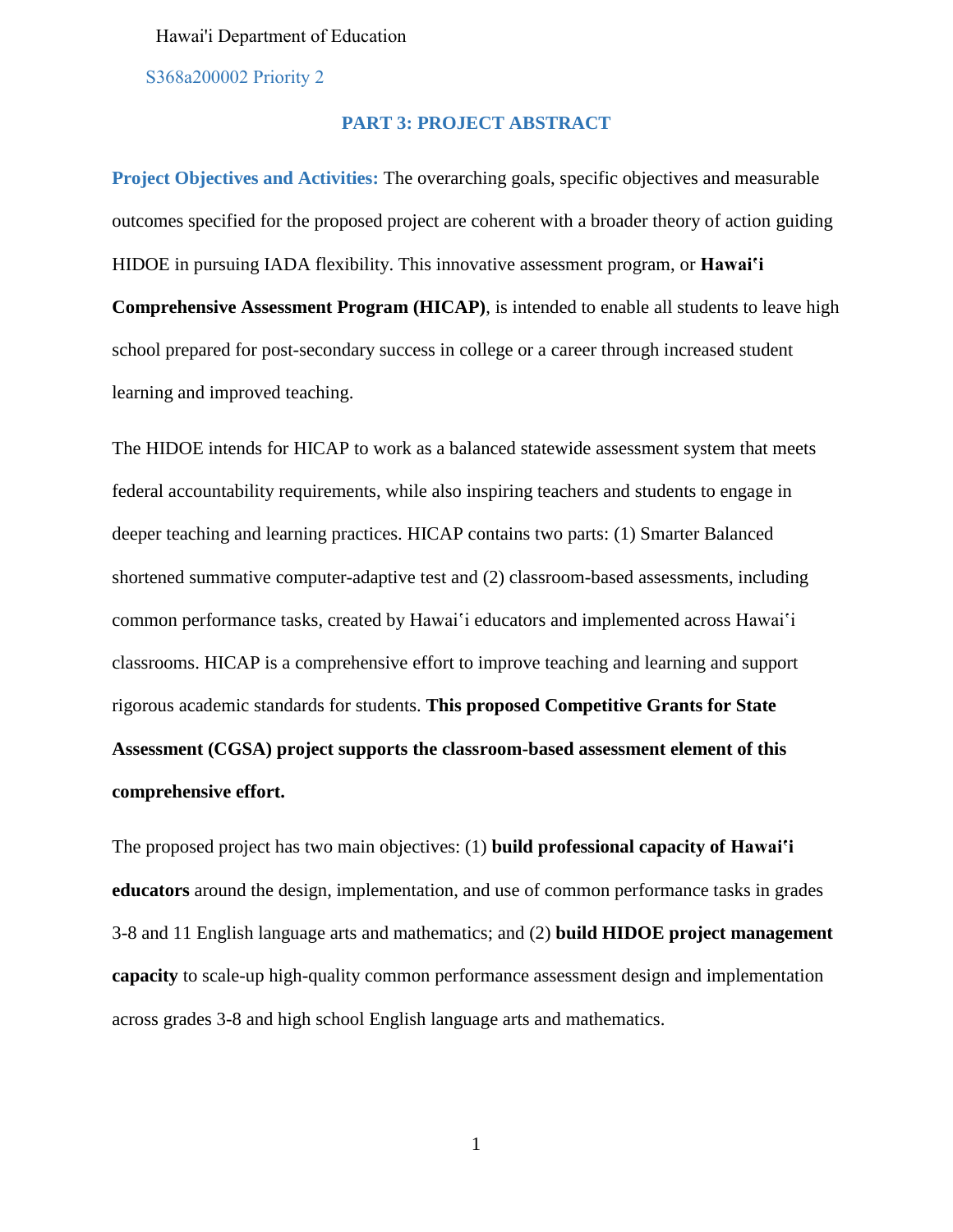#### Hawai'i Department of Education

S368a200002 Priority 2

#### **PART 3: PROJECT ABSTRACT**

**Project Objectives and Activities:** The overarching goals, specific objectives and measurable outcomes specified for the proposed project are coherent with a broader theory of action guiding HIDOE in pursuing IADA flexibility. This innovative assessment program, or **Hawaiʽi Comprehensive Assessment Program (HICAP)**, is intended to enable all students to leave high school prepared for post-secondary success in college or a career through increased student learning and improved teaching.

The HIDOE intends for HICAP to work as a balanced statewide assessment system that meets federal accountability requirements, while also inspiring teachers and students to engage in deeper teaching and learning practices. HICAP contains two parts: (1) Smarter Balanced shortened summative computer-adaptive test and (2) classroom-based assessments, including common performance tasks, created by Hawai´i educators and implemented across Hawai´i classrooms. HICAP is a comprehensive effort to improve teaching and learning and support rigorous academic standards for students. **This proposed Competitive Grants for State Assessment (CGSA) project supports the classroom-based assessment element of this comprehensive effort.** 

The proposed project has two main objectives: (1) **build professional capacity of Hawai'i educators** around the design, implementation, and use of common performance tasks in grades 3-8 and 11 English language arts and mathematics; and (2) **build HIDOE project management capacity** to scale-up high-quality common performance assessment design and implementation across grades 3-8 and high school English language arts and mathematics.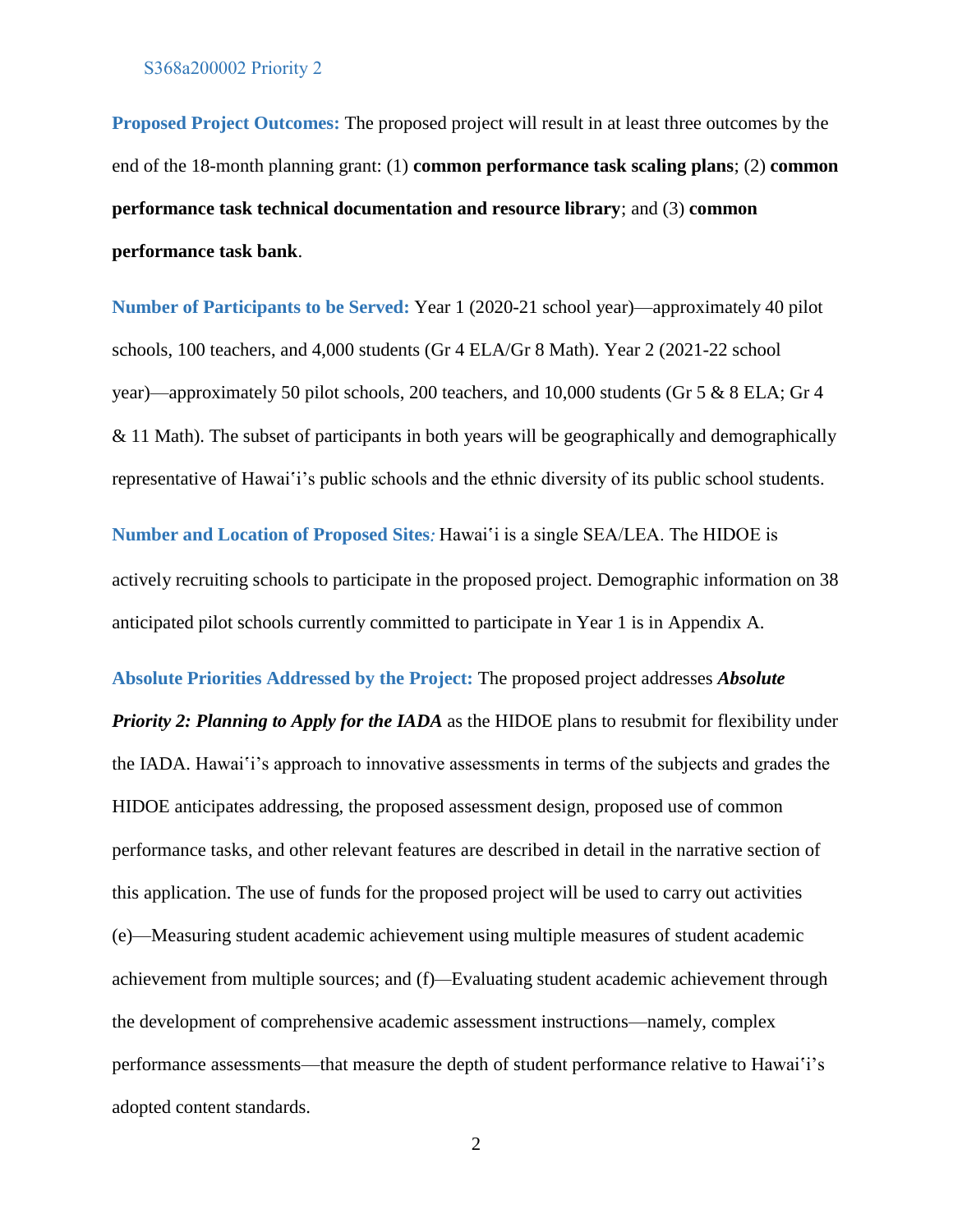**Proposed Project Outcomes:** The proposed project will result in at least three outcomes by the end of the 18-month planning grant: (1) **common performance task scaling plans**; (2) **common performance task technical documentation and resource library**; and (3) **common performance task bank**.

**Number of Participants to be Served:** Year 1 (2020-21 school year)—approximately 40 pilot schools, 100 teachers, and 4,000 students (Gr 4 ELA/Gr 8 Math). Year 2 (2021-22 school year)—approximately 50 pilot schools, 200 teachers, and 10,000 students (Gr 5 & 8 ELA; Gr 4  $& 11$  Math). The subset of participants in both years will be geographically and demographically representative of Hawai'i's public schools and the ethnic diversity of its public school students.

**Number and Location of Proposed Sites***:* Hawaiʽi is a single SEA/LEA. The HIDOE is actively recruiting schools to participate in the proposed project. Demographic information on 38 anticipated pilot schools currently committed to participate in Year 1 is in Appendix A.

**Absolute Priorities Addressed by the Project:** The proposed project addresses *Absolute Priority 2: Planning to Apply for the IADA* as the HIDOE plans to resubmit for flexibility under the IADA. Hawaiʽi's approach to innovative assessments in terms of the subjects and grades the HIDOE anticipates addressing, the proposed assessment design, proposed use of common performance tasks, and other relevant features are described in detail in the narrative section of this application. The use of funds for the proposed project will be used to carry out activities (e)—Measuring student academic achievement using multiple measures of student academic achievement from multiple sources; and (f)*—*Evaluating student academic achievement through the development of comprehensive academic assessment instructions—namely, complex performance assessments—that measure the depth of student performance relative to Hawaiʻi's adopted content standards.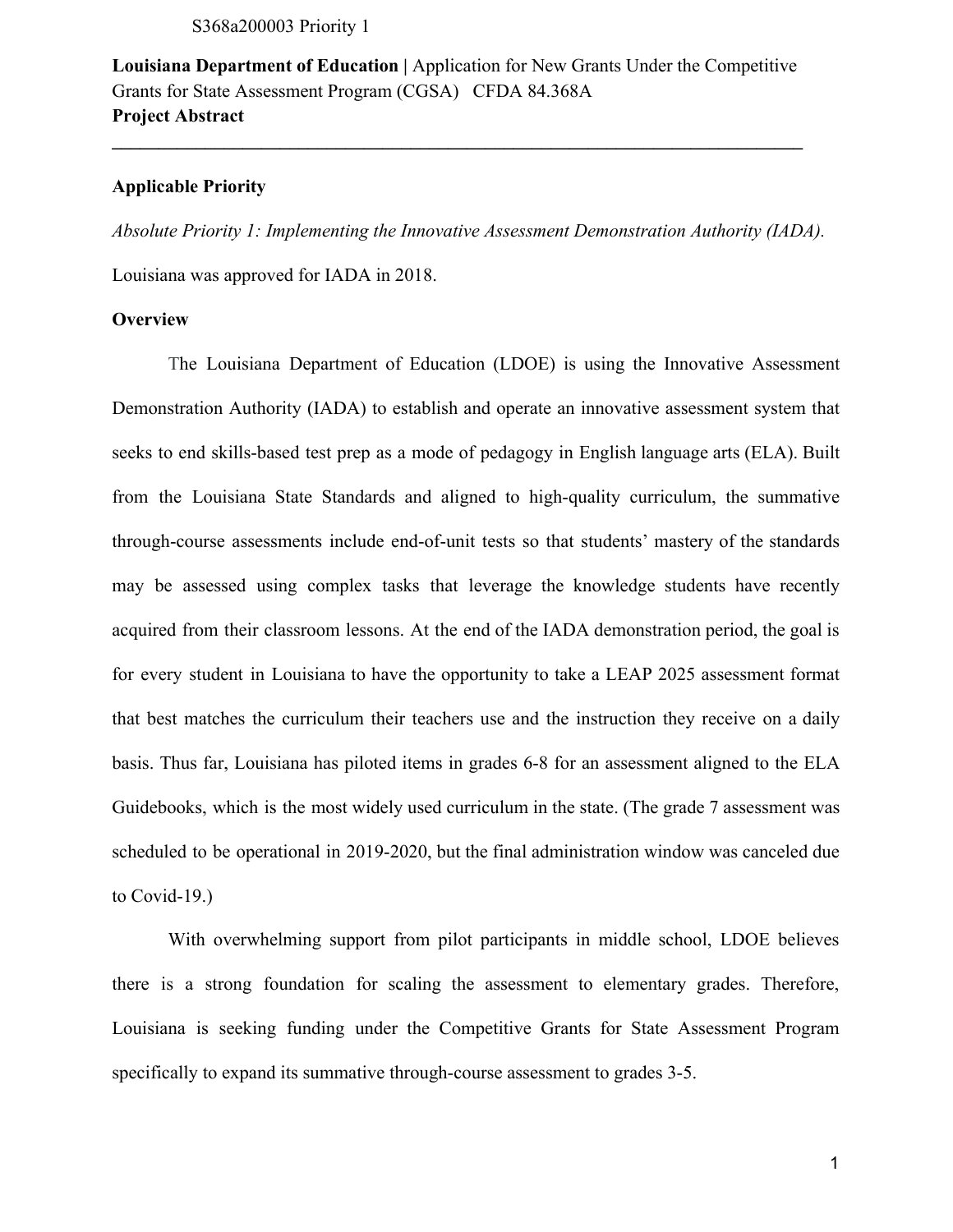S368a200003 Priority 1

**Louisiana Department of Education |** Application for New Grants Under the Competitive Grants for State Assessment Program (CGSA) CFDA 84.368A **Project Abstract** 

**\_\_\_\_\_\_\_\_\_\_\_\_\_\_\_\_\_\_\_\_\_\_\_\_\_\_\_\_\_\_\_\_\_\_\_\_\_\_\_\_\_\_\_\_\_\_\_\_\_\_\_\_\_\_\_\_\_\_\_\_\_\_\_\_\_\_\_\_\_\_\_\_\_\_** 

#### **Applicable Priority**

*Absolute Priority 1: Implementing the Innovative Assessment Demonstration Authority (IADA).*

Louisiana was approved for IADA in 2018.

### **Overview**

The Louisiana Department of Education (LDOE) is using the Innovative Assessment Demonstration Authority (IADA) to establish and operate an innovative assessment system that seeks to end skills-based test prep as a mode of pedagogy in English language arts (ELA). Built from the Louisiana State Standards and aligned to high-quality curriculum, the summative through-course assessments include end-of-unit tests so that students' mastery of the standards may be assessed using complex tasks that leverage the knowledge students have recently acquired from their classroom lessons. At the end of the IADA demonstration period, the goal is for every student in Louisiana to have the opportunity to take a LEAP 2025 assessment format that best matches the curriculum their teachers use and the instruction they receive on a daily basis. Thus far, Louisiana has piloted items in grades 6-8 for an assessment aligned to the ELA Guidebooks, which is the most widely used curriculum in the state. (The grade 7 assessment was scheduled to be operational in 2019-2020, but the final administration window was canceled due to Covid-19.)

With overwhelming support from pilot participants in middle school, LDOE believes there is a strong foundation for scaling the assessment to elementary grades. Therefore, Louisiana is seeking funding under the Competitive Grants for State Assessment Program specifically to expand its summative through-course assessment to grades 3-5.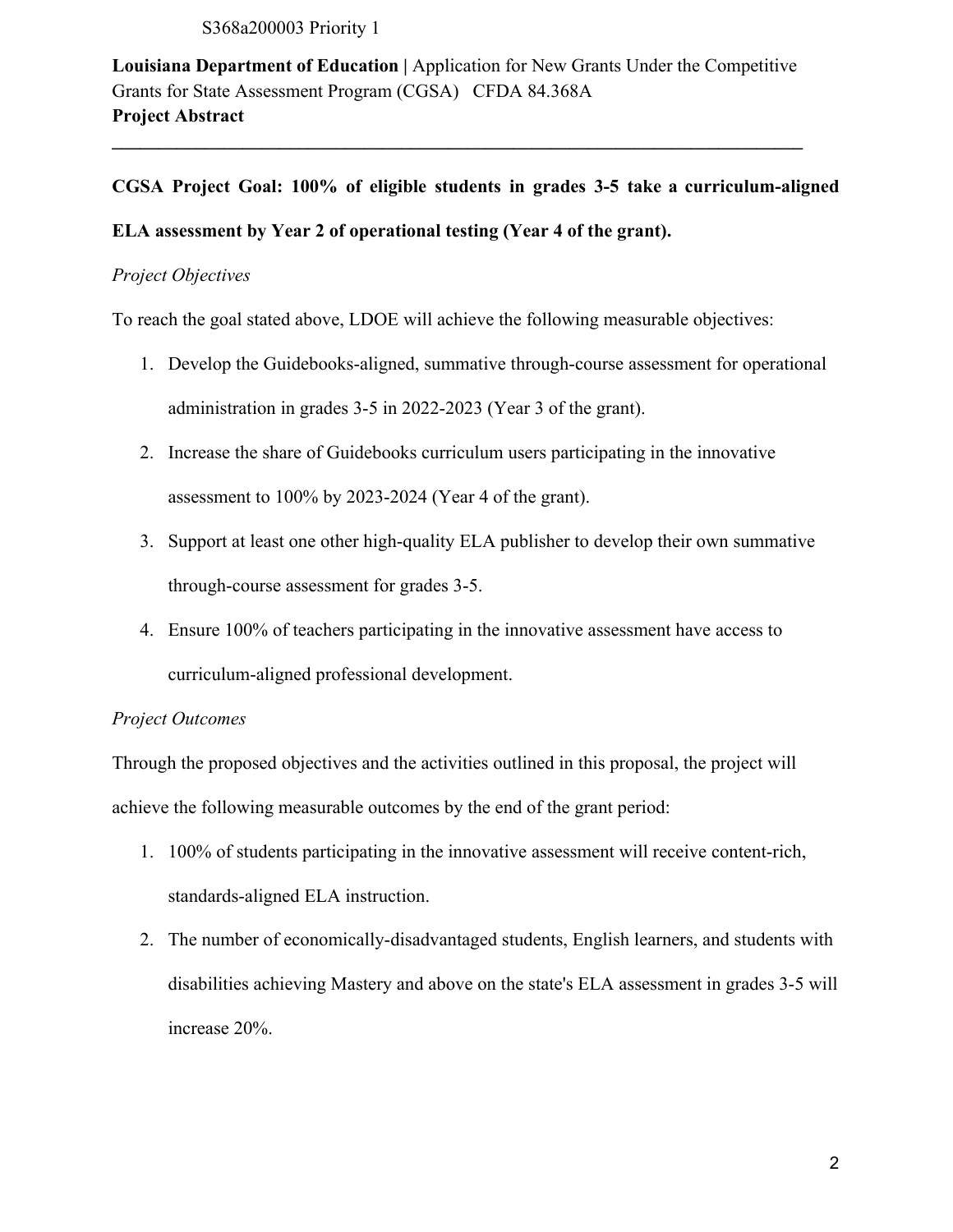S368a200003 Priority 1

**Louisiana Department of Education |** Application for New Grants Under the Competitive Grants for State Assessment Program (CGSA) CFDA 84.368A **Project Abstract** 

**\_\_\_\_\_\_\_\_\_\_\_\_\_\_\_\_\_\_\_\_\_\_\_\_\_\_\_\_\_\_\_\_\_\_\_\_\_\_\_\_\_\_\_\_\_\_\_\_\_\_\_\_\_\_\_\_\_\_\_\_\_\_\_\_\_\_\_\_\_\_\_\_\_\_** 

## **CGSA Project Goal: 100% of eligible students in grades 3-5 take a curriculum-aligned**

## **ELA assessment by Year 2 of operational testing (Year 4 of the grant).**

#### *Project Objectives*

To reach the goal stated above, LDOE will achieve the following measurable objectives:

- 1. Develop the Guidebooks-aligned, summative through-course assessment for operational administration in grades 3-5 in 2022-2023 (Year 3 of the grant).
- 2. Increase the share of Guidebooks curriculum users participating in the innovative assessment to 100% by 2023-2024 (Year 4 of the grant).
- 3. Support at least one other high-quality ELA publisher to develop their own summative through-course assessment for grades 3-5.
- 4. Ensure 100% of teachers participating in the innovative assessment have access to curriculum-aligned professional development.

### *Project Outcomes*

Through the proposed objectives and the activities outlined in this proposal, the project will achieve the following measurable outcomes by the end of the grant period:

- 1. 100% of students participating in the innovative assessment will receive content-rich, standards-aligned ELA instruction.
- 2. The number of economically-disadvantaged students, English learners, and students with disabilities achieving Mastery and above on the state's ELA assessment in grades 3-5 will increase 20%.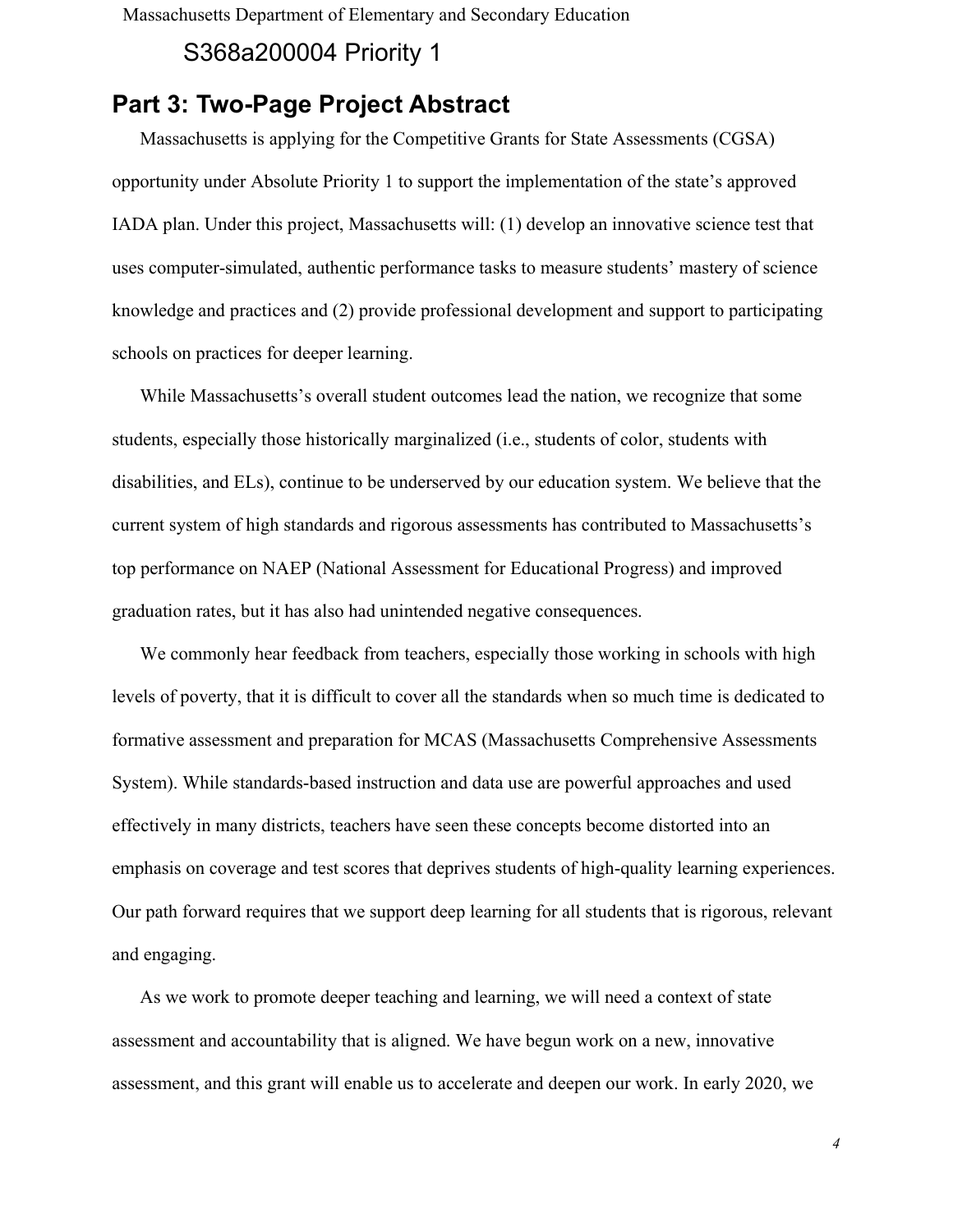Massachusetts Department of Elementary and Secondary Education

# S368a200004 Priority 1

# Part 3: Two-Page Project Abstract

Massachusetts is applying for the Competitive Grants for State Assessments (CGSA) opportunity under Absolute Priority 1 to support the implementation of the state's approved IADA plan. Under this project, Massachusetts will: (1) develop an innovative science test that uses computer-simulated, authentic performance tasks to measure students' mastery of science knowledge and practices and (2) provide professional development and support to participating schools on practices for deeper learning.

While Massachusetts's overall student outcomes lead the nation, we recognize that some students, especially those historically marginalized (i.e., students of color, students with disabilities, and ELs), continue to be underserved by our education system. We believe that the current system of high standards and rigorous assessments has contributed to Massachusetts's top performance on NAEP (National Assessment for Educational Progress) and improved graduation rates, but it has also had unintended negative consequences.

We commonly hear feedback from teachers, especially those working in schools with high levels of poverty, that it is difficult to cover all the standards when so much time is dedicated to formative assessment and preparation for MCAS (Massachusetts Comprehensive Assessments System). While standards-based instruction and data use are powerful approaches and used effectively in many districts, teachers have seen these concepts become distorted into an emphasis on coverage and test scores that deprives students of high-quality learning experiences. Our path forward requires that we support deep learning for all students that is rigorous, relevant and engaging.

As we work to promote deeper teaching and learning, we will need a context of state assessment and accountability that is aligned. We have begun work on a new, innovative assessment, and this grant will enable us to accelerate and deepen our work. In early 2020, we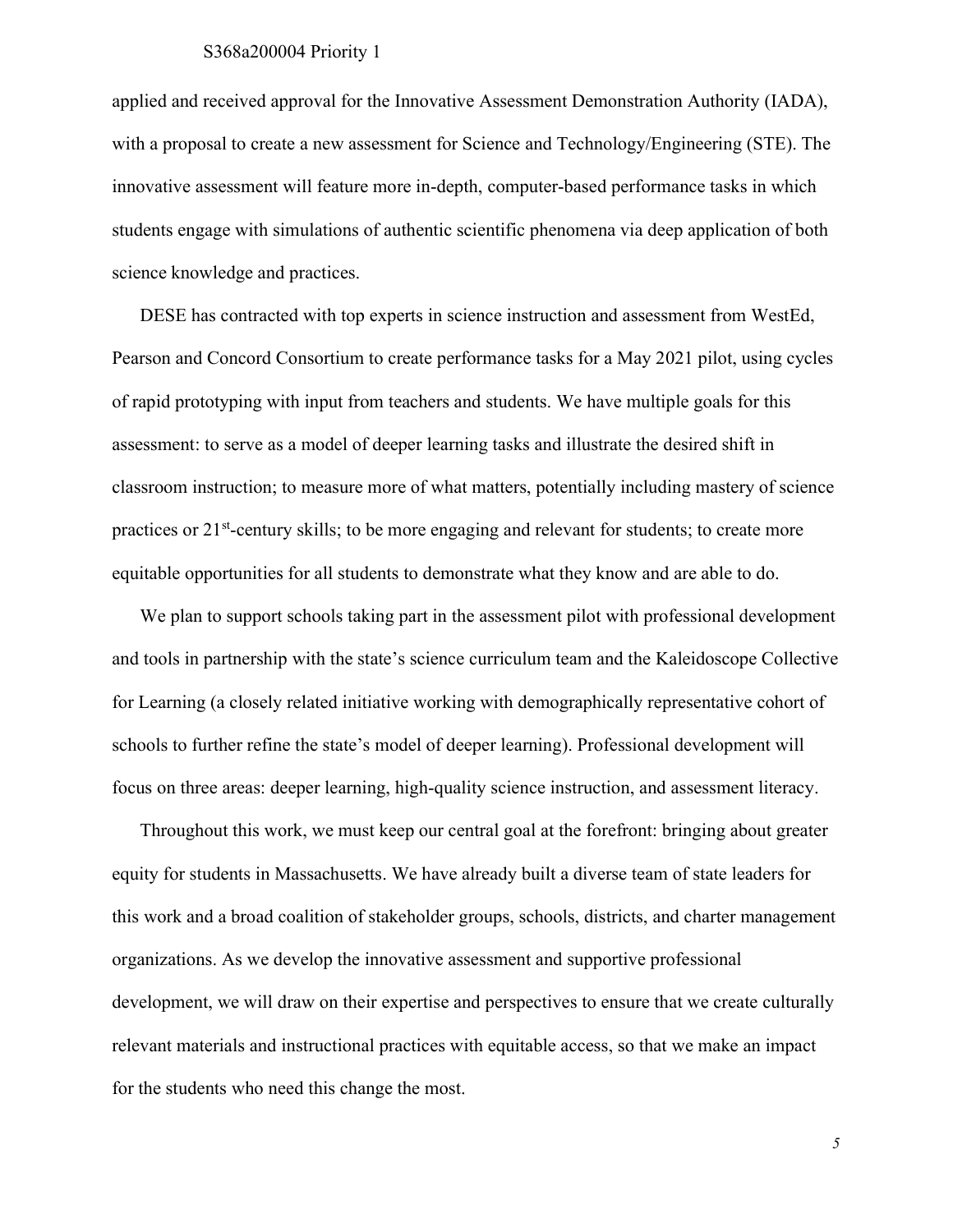#### S368a200004 Priority 1

applied and received approval for the Innovative Assessment Demonstration Authority (IADA), with a proposal to create a new assessment for Science and Technology/Engineering (STE). The innovative assessment will feature more in-depth, computer-based performance tasks in which students engage with simulations of authentic scientific phenomena via deep application of both science knowledge and practices.

DESE has contracted with top experts in science instruction and assessment from WestEd, Pearson and Concord Consortium to create performance tasks for a May 2021 pilot, using cycles of rapid prototyping with input from teachers and students. We have multiple goals for this assessment: to serve as a model of deeper learning tasks and illustrate the desired shift in classroom instruction; to measure more of what matters, potentially including mastery of science practices or  $21<sup>st</sup>$ -century skills; to be more engaging and relevant for students; to create more equitable opportunities for all students to demonstrate what they know and are able to do.

We plan to support schools taking part in the assessment pilot with professional development and tools in partnership with the state's science curriculum team and the Kaleidoscope Collective for Learning (a closely related initiative working with demographically representative cohort of schools to further refine the state's model of deeper learning). Professional development will focus on three areas: deeper learning, high-quality science instruction, and assessment literacy.

Throughout this work, we must keep our central goal at the forefront: bringing about greater equity for students in Massachusetts. We have already built a diverse team of state leaders for this work and a broad coalition of stakeholder groups, schools, districts, and charter management organizations. As we develop the innovative assessment and supportive professional development, we will draw on their expertise and perspectives to ensure that we create culturally relevant materials and instructional practices with equitable access, so that we make an impact for the students who need this change the most.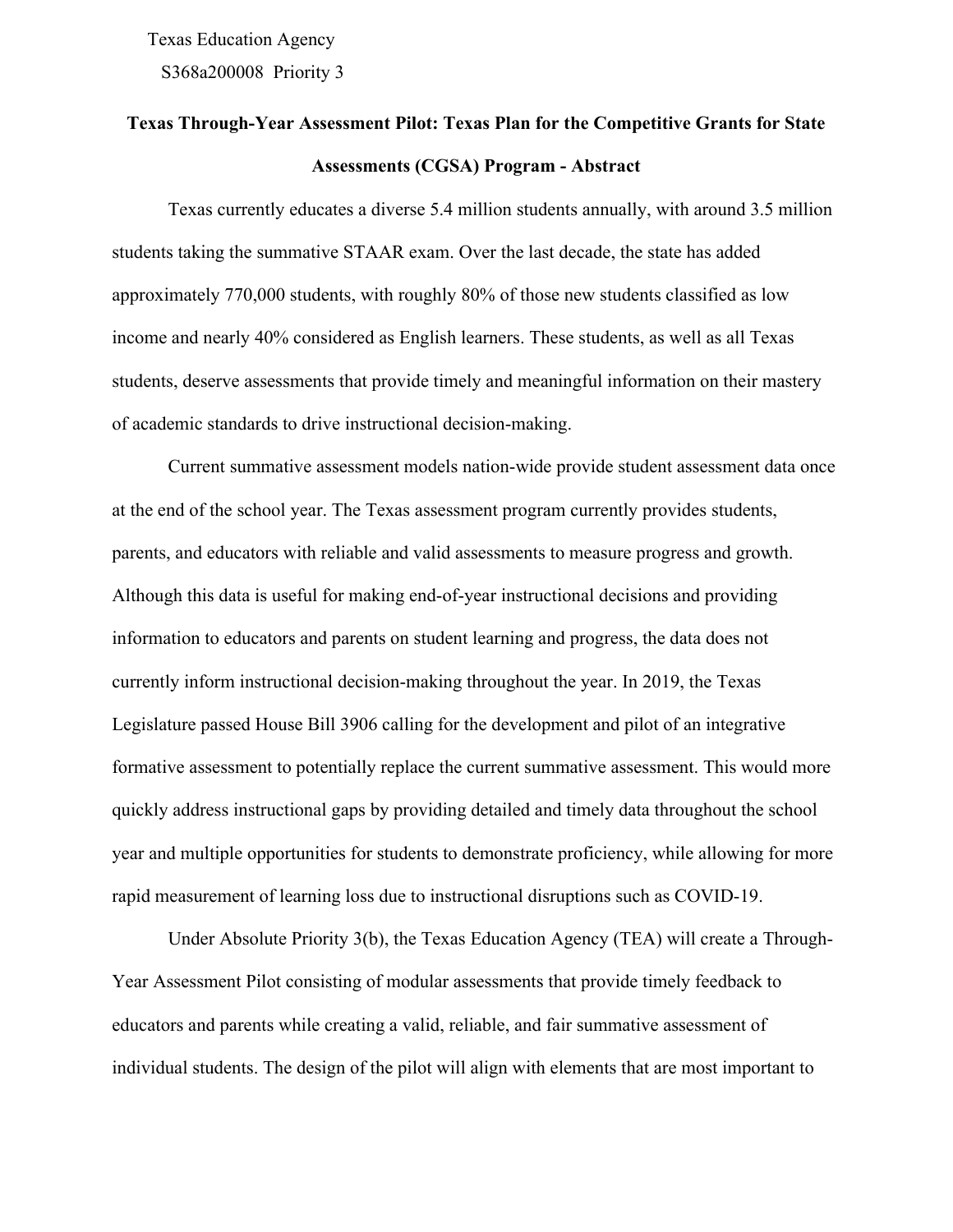S368a200008 Priority 3 Texas Education Agency

# **Texas Through-Year Assessment Pilot: Texas Plan for the Competitive Grants for State Assessments (CGSA) Program - Abstract**

Texas currently educates a diverse 5.4 million students annually, with around 3.5 million students taking the summative STAAR exam. Over the last decade, the state has added approximately 770,000 students, with roughly 80% of those new students classified as low income and nearly 40% considered as English learners. These students, as well as all Texas students, deserve assessments that provide timely and meaningful information on their mastery of academic standards to drive instructional decision-making.

Current summative assessment models nation-wide provide student assessment data once at the end of the school year. The Texas assessment program currently provides students, parents, and educators with reliable and valid assessments to measure progress and growth. Although this data is useful for making end-of-year instructional decisions and providing information to educators and parents on student learning and progress, the data does not currently inform instructional decision-making throughout the year. In 2019, the Texas Legislature passed House Bill 3906 calling for the development and pilot of an integrative formative assessment to potentially replace the current summative assessment. This would more quickly address instructional gaps by providing detailed and timely data throughout the school year and multiple opportunities for students to demonstrate proficiency, while allowing for more rapid measurement of learning loss due to instructional disruptions such as COVID-19.

Under Absolute Priority 3(b), the Texas Education Agency (TEA) will create a Through-Year Assessment Pilot consisting of modular assessments that provide timely feedback to educators and parents while creating a valid, reliable, and fair summative assessment of individual students. The design of the pilot will align with elements that are most important to